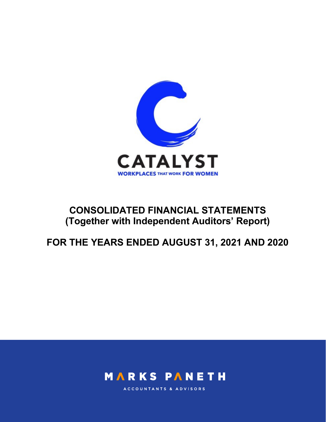

# CONSOLIDATED FINANCIAL STATEMENTS (Together with Independent Auditors' Report)

FOR THE YEARS ENDED AUGUST 31, 2021 AND 2020



ACCOUNTANTS & ADVISORS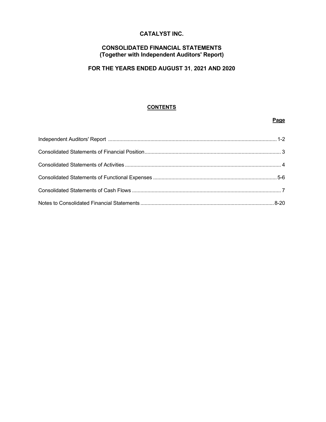# CATALYST INC.

# CONSOLIDATED FINANCIAL STATEMENTS (Together with Independent Auditors' Report)

# FOR THE YEARS ENDED AUGUST 31, 2021 AND 2020

# **CONTENTS**

#### na di Page de La Caractería de la Caractería de la Caractería de la Caractería de la Caractería de la Caracterí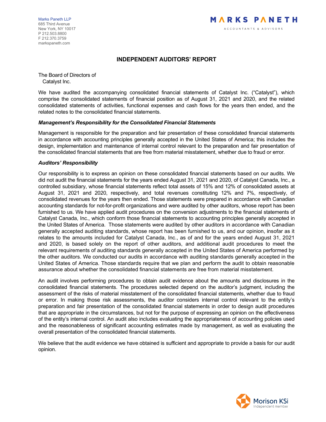Marks Paneth LLP 685 Third Avenue New York, NY 10017 P 212.503.8800 F 212.370.3759 markspaneth.com

# INDEPENDENT AUDITORS' REPORT

The Board of Directors of Catalyst Inc.

We have audited the accompanying consolidated financial statements of Catalyst Inc. ("Catalyst"), which comprise the consolidated statements of financial position as of August 31, 2021 and 2020, and the related consolidated statements of activities, functional expenses and cash flows for the years then ended, and the related notes to the consolidated financial statements.

#### Management's Responsibility for the Consolidated Financial Statements

Management is responsible for the preparation and fair presentation of these consolidated financial statements in accordance with accounting principles generally accepted in the United States of America; this includes the design, implementation and maintenance of internal control relevant to the preparation and fair presentation of the consolidated financial statements that are free from material misstatement, whether due to fraud or error.

#### Auditors' Responsibility

Our responsibility is to express an opinion on these consolidated financial statements based on our audits. We did not audit the financial statements for the years ended August 31, 2021 and 2020, of Catalyst Canada, Inc., a controlled subsidiary, whose financial statements reflect total assets of 15% and 12% of consolidated assets at August 31, 2021 and 2020, respectively, and total revenues constituting 12% and 7%, respectively, of consolidated revenues for the years then ended. Those statements were prepared in accordance with Canadian accounting standards for not-for-profit organizations and were audited by other auditors, whose report has been furnished to us. We have applied audit procedures on the conversion adjustments to the financial statements of Catalyst Canada, Inc., which conform those financial statements to accounting principles generally accepted in the United States of America. Those statements were audited by other auditors in accordance with Canadian generally accepted auditing standards, whose report has been furnished to us, and our opinion, insofar as it relates to the amounts included for Catalyst Canada, Inc., as of and for the years ended August 31, 2021 and 2020, is based solely on the report of other auditors, and additional audit procedures to meet the relevant requirements of auditing standards generally accepted in the United States of America performed by the other auditors. We conducted our audits in accordance with auditing standards generally accepted in the United States of America. Those standards require that we plan and perform the audit to obtain reasonable assurance about whether the consolidated financial statements are free from material misstatement.

An audit involves performing procedures to obtain audit evidence about the amounts and disclosures in the consolidated financial statements. The procedures selected depend on the auditor's judgment, including the assessment of the risks of material misstatement of the consolidated financial statements, whether due to fraud or error. In making those risk assessments, the auditor considers internal control relevant to the entity's preparation and fair presentation of the consolidated financial statements in order to design audit procedures that are appropriate in the circumstances, but not for the purpose of expressing an opinion on the effectiveness of the entity's internal control. An audit also includes evaluating the appropriateness of accounting policies used and the reasonableness of significant accounting estimates made by management, as well as evaluating the overall presentation of the consolidated financial statements.

We believe that the audit evidence we have obtained is sufficient and appropriate to provide a basis for our audit opinion.

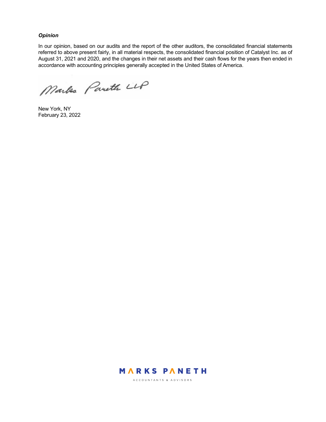#### **Opinion**

In our opinion, based on our audits and the report of the other auditors, the consolidated financial statements referred to above present fairly, in all material respects, the consolidated financial position of Catalyst Inc. as of August 31, 2021 and 2020, and the changes in their net assets and their cash flows for the years then ended in accordance with accounting principles generally accepted in the United States of America.

Markes Pareth LLP

New York, NY February 23, 2022



ACCOUNTANTS & ADVISORS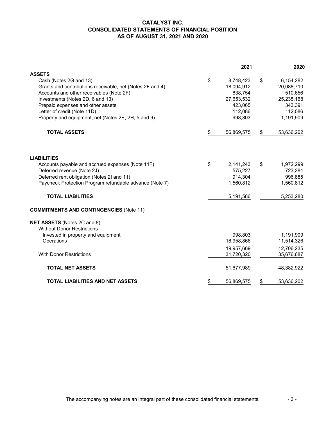# **CATALYST INC. CONSOLIDATED STATEMENTS OF FINANCIAL POSITION AS OF AUGUST 31, 2021 AND 2020**

|                                                                                                       |    | 2021                  | 2020                  |
|-------------------------------------------------------------------------------------------------------|----|-----------------------|-----------------------|
| <b>ASSETS</b>                                                                                         |    |                       |                       |
| Cash (Notes 2G and 13)                                                                                | \$ | 8,748,423             | \$<br>6,154,282       |
| Grants and contributions receivable, net (Notes 2F and 4)<br>Accounts and other receivables (Note 2F) |    | 18,094,912<br>838,754 | 20,088,710<br>510,656 |
| Investments (Notes 2D, 6 and 13)                                                                      |    | 27,653,532            | 25,235,168            |
| Prepaid expenses and other assets                                                                     |    | 423,065               | 343,391               |
| Letter of credit (Note 11D)                                                                           |    | 112,086               | 112,086               |
| Property and equipment, net (Notes 2E, 2H, 5 and 9)                                                   |    | 998,803               | 1,191,909             |
| <b>TOTAL ASSETS</b>                                                                                   | S. | 56,869,575            | \$<br>53,636,202      |
|                                                                                                       |    |                       |                       |
| <b>LIABILITIES</b>                                                                                    |    |                       |                       |
| Accounts payable and accrued expenses (Note 11F)                                                      | \$ | 2,141,243             | \$<br>1,972,299       |
| Deferred revenue (Note 2J)                                                                            |    | 575,227               | 723,284               |
| Deferred rent obligation (Notes 2I and 11)                                                            |    | 914,304               | 996,885               |
| Paycheck Protection Program refundable advance (Note 7)                                               |    | 1,560,812             | 1,560,812             |
| <b>TOTAL LIABILITIES</b>                                                                              |    | 5,191,586             | 5,253,280             |
| <b>COMMITMENTS AND CONTINGENCIES (Note 11)</b>                                                        |    |                       |                       |
| NET ASSETS (Notes 2C and 8)                                                                           |    |                       |                       |
| <b>Without Donor Restrictions</b>                                                                     |    |                       |                       |
| Invested in property and equipment                                                                    |    | 998,803               | 1,191,909             |
| Operations                                                                                            |    | 18,958,866            | 11,514,326            |
|                                                                                                       |    | 19,957,669            | 12,706,235            |
| <b>With Donor Restrictions</b>                                                                        |    | 31,720,320            | 35,676,687            |
| <b>TOTAL NET ASSETS</b>                                                                               |    | 51,677,989            | 48,382,922            |
| <b>TOTAL LIABILITIES AND NET ASSETS</b>                                                               | \$ | 56,869,575            | \$<br>53,636,202      |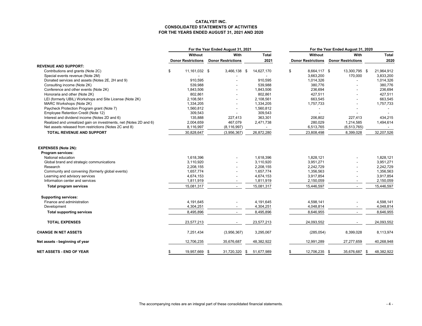#### **CATALYST INC. CONSOLIDATED STATEMENTS OF ACTIVITIES FOR THE YEARS ENDED AUGUST 31, 2021 AND 2020**

|                                                                   | For the Year Ended August 31, 2021 |                           |                           |      | For the Year Ended August 31, 2020 |    |                           |                           |  |              |
|-------------------------------------------------------------------|------------------------------------|---------------------------|---------------------------|------|------------------------------------|----|---------------------------|---------------------------|--|--------------|
|                                                                   |                                    | Without                   | With                      |      | <b>Total</b>                       |    | Without                   | With                      |  | <b>Total</b> |
|                                                                   |                                    | <b>Donor Restrictions</b> | <b>Donor Restrictions</b> |      | 2021                               |    | <b>Donor Restrictions</b> | <b>Donor Restrictions</b> |  | 2020         |
| <b>REVENUE AND SUPPORT:</b>                                       |                                    |                           |                           |      |                                    |    |                           |                           |  |              |
| Contributions and grants (Note 2C)                                | \$                                 | 11,161,032 \$             | 3,466,138                 | - \$ | 14,627,170                         | \$ | 8,664,117 \$              | 13,300,795 \$             |  | 21,964,912   |
| Special events revenue (Note 2M)                                  |                                    |                           |                           |      |                                    |    | 3,663,200                 | 170,000                   |  | 3,833,200    |
| Donated services and assets (Notes 2E, 2H and 9)                  |                                    | 910,595                   |                           |      | 910,595                            |    | 1,014,326                 |                           |  | 1,014,326    |
| Consulting income (Note 2K)                                       |                                    | 539,988                   |                           |      | 539,988                            |    | 380.776                   |                           |  | 380,776      |
| Conference and other events (Note 2K)                             |                                    | 1,843,506                 |                           |      | 1,843,506                          |    | 236,694                   |                           |  | 236,694      |
| Honoraria and other (Note 2K)                                     |                                    | 802,861                   |                           |      | 802,861                            |    | 427,511                   |                           |  | 427,511      |
| LEI (formerly UBIL) Workshops and Site License (Note 2K)          |                                    | 2,108,561                 |                           |      | 2,108,561                          |    | 663,545                   |                           |  | 663,545      |
| MARC Workshops (Note 2K)                                          |                                    | 1,334,205                 |                           |      | 1,334,205                          |    | 1,757,733                 |                           |  | 1,757,733    |
| Paycheck Protection Program grant (Note 7)                        |                                    | 1,560,812                 |                           |      | 1,560,812                          |    |                           |                           |  |              |
| Employee Retention Credit (Note 12)                               |                                    | 309,543                   |                           |      | 309,543                            |    |                           |                           |  |              |
| Interest and dividend income (Notes 2D and 6)                     |                                    | 135,888                   | 227,413                   |      | 363,301                            |    | 206,802                   | 227,413                   |  | 434,215      |
| Realized and unrealized gain on investments, net (Notes 2D and 6) |                                    | 2,004,659                 | 467,079                   |      | 2,471,738                          |    | 280,029                   | 1,214,585                 |  | 1,494,614    |
| Net assets released from restrictions (Notes 2C and 8)            |                                    | 8,116,997                 | (8, 116, 997)             |      |                                    |    | 6,513,765                 | (6,513,765)               |  |              |
| <b>TOTAL REVENUE AND SUPPORT</b>                                  |                                    | 30,828,647                | (3,956,367)               |      | 26,872,280                         |    | 23,808,498                | 8,399,028                 |  | 32,207,526   |
| <b>EXPENSES (Note 2N):</b><br>Program services:                   |                                    |                           |                           |      |                                    |    |                           |                           |  |              |
| National education                                                |                                    | 1,618,396                 |                           |      | 1,618,396                          |    | 1,828,121                 |                           |  | 1,828,121    |
| Global brand and strategic communications                         |                                    | 3.110.920                 |                           |      | 3.110.920                          |    | 3.951.271                 |                           |  | 3,951,271    |
| Research                                                          |                                    | 2,208,155                 |                           |      | 2,208,155                          |    | 2,242,729                 |                           |  | 2,242,729    |
| Community and convening (formerly global events)                  |                                    | 1,657,774                 |                           |      | 1,657,774                          |    | 1,356,563                 |                           |  | 1,356,563    |
| Learning and advisory services                                    |                                    | 4,674,153                 |                           |      | 4,674,153                          |    | 3,917,854                 |                           |  | 3,917,854    |
| Information center and services                                   |                                    | 1,811,919                 | $\overline{a}$            |      | 1,811,919                          |    | 2,150,059                 |                           |  | 2,150,059    |
| <b>Total program services</b>                                     |                                    | 15,081,317                | $\blacksquare$            |      | 15,081,317                         |    | 15,446,597                |                           |  | 15,446,597   |
| <b>Supporting services:</b>                                       |                                    |                           |                           |      |                                    |    |                           |                           |  |              |
| Finance and administration                                        |                                    | 4,191,645                 |                           |      | 4.191.645                          |    | 4.598.141                 |                           |  | 4.598.141    |
| Development                                                       |                                    | 4,304,251                 | $\blacksquare$            |      | 4,304,251                          |    | 4,048,814                 |                           |  | 4,048,814    |
| <b>Total supporting services</b>                                  |                                    | 8,495,896                 | $\blacksquare$            |      | 8,495,896                          |    | 8,646,955                 |                           |  | 8,646,955    |
| <b>TOTAL EXPENSES</b>                                             |                                    | 23,577,213                |                           |      | 23,577,213                         |    | 24,093,552                |                           |  | 24,093,552   |
| <b>CHANGE IN NET ASSETS</b>                                       |                                    | 7,251,434                 | (3,956,367)               |      | 3,295,067                          |    | (285, 054)                | 8,399,028                 |  | 8,113,974    |
| Net assets - beginning of year                                    |                                    | 12,706,235                | 35,676,687                |      | 48,382,922                         |    | 12,991,289                | 27,277,659                |  | 40,268,948   |
| NET ASSETS - END OF YEAR                                          | \$                                 | 19,957,669 \$             | 31,720,320                | -\$  | 51,677,989                         | \$ | 12,706,235 \$             | 35,676,687 \$             |  | 48,382,922   |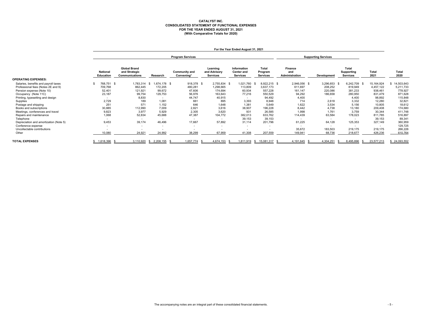#### **CATALYST INC. CONSOLIDATED STATEMENT OF FUNCTIONAL EXPENSES FOR THE YEAR ENDED AUGUST 31, 2021 (With Comparative Totals for 2020)**

|                                        | For the Year Ended August 31, 2021 |                                                        |                          |                                    |                                             |                                                     |                                            |                                         |                          |                                               |               |               |
|----------------------------------------|------------------------------------|--------------------------------------------------------|--------------------------|------------------------------------|---------------------------------------------|-----------------------------------------------------|--------------------------------------------|-----------------------------------------|--------------------------|-----------------------------------------------|---------------|---------------|
|                                        | <b>Program Services</b>            |                                                        |                          |                                    |                                             |                                                     |                                            | <b>Supporting Services</b>              |                          |                                               |               |               |
|                                        | <b>National</b><br>Education       | <b>Global Brand</b><br>and Strategic<br>Communications | Research                 | <b>Community and</b><br>Convening* | Learning<br>and Advisory<br><b>Services</b> | Information<br><b>Center and</b><br><b>Services</b> | <b>Total</b><br>Program<br><b>Services</b> | <b>Finance</b><br>and<br>Administration | <b>Development</b>       | <b>Total</b><br>Supporting<br><b>Services</b> | Total<br>2021 | Total<br>2020 |
| <b>OPERATING EXPENSES:</b>             |                                    |                                                        |                          |                                    |                                             |                                                     |                                            |                                         |                          |                                               |               |               |
| Salaries, benefits and payroll taxes   | 768,751 \$                         | 1,783,314                                              | 674.178 \$<br>- S        | 918,378 \$                         | 2,755,834 \$                                | 1,021,760                                           | 8,922,215 \$                               | 2,946,056 \$                            | 3,296,653 \$             | 6,242,709 \$                                  | 15, 164, 924  | 14,503,643    |
| Professional fees (Notes 2E and 9)     | 709,768                            | 862,445                                                | 172,205                  | 480,281                            | 1,298,665                                   | 113,809                                             | 3,637,173                                  | 611,697                                 | 208,252                  | 819,949                                       | 4,457,122     | 5,211,733     |
| Pension expense (Note 10)              | 52,401                             | 121,921                                                | 99,672                   | 47,606                             | 174,694                                     | 60,934                                              | 557,228                                    | 161,147                                 | 220,086                  | 381,233                                       | 938.461       | 778,927       |
| Occupancy (Note 11C)                   | 23,187                             | 99,754                                                 | 129,753                  | 56,976                             | 163,643                                     | 77,216                                              | 550,529                                    | 94,292                                  | 186,658                  | 280,950                                       | 831,479       | 871,628       |
| Printing, typesetting and design       | $\overline{\phantom{0}}$           | 8,830                                                  | $\overline{\phantom{a}}$ | 44,747                             | 40,915                                      | $\sim$                                              | 94,492                                     | 4,400                                   | $\overline{\phantom{0}}$ | 4.400                                         | 98,892        | 115,848       |
| Supplies                               | 2,729                              | 189                                                    | 1,081                    | 661                                | 895                                         | 3,393                                               | 8,948                                      | 714                                     | 2,618                    | 3.332                                         | 12,280        | 32,821        |
| Postage and shipping                   | 251                                | 571                                                    | 1,152                    | 646                                | 1.648                                       | 1,381                                               | 5.649                                      | 1.622                                   | 3,534                    | 5.156                                         | 10,805        | 18,612        |
| Books and subscriptions                | 30,885                             | 112,990                                                | 7,009                    | 2,821                              | 3.616                                       | 38,907                                              | 196,228                                    | 8,442                                   | 4.738                    | 13,180                                        | 209,408       | 174,680       |
| Meetings, conferences and travel       | 9,823                              | 3,977                                                  | 5,929                    | 2,305                              | 3,620                                       | 931                                                 | 26,585                                     | 1,998                                   | 1,761                    | 3.759                                         | 30,344        | 411,748       |
| Repairs and maintenance                | 1,068                              | 52,834                                                 | 45,688                   | 47,387                             | 104,772                                     | 382,013                                             | 633,762                                    | 114,439                                 | 63,584                   | 178,023                                       | 811.785       | 516,897       |
| Telephone                              | $\sim$                             | $\overline{\phantom{0}}$                               | $\overline{\phantom{a}}$ |                                    | $\sim$                                      | 39,153                                              | 39,153                                     |                                         | $\overline{\phantom{0}}$ | $\sim$                                        | 39,153        | 89,341        |
| Depreciation and amortization (Note 5) | 9,453                              | 39,174                                                 | 46,496                   | 17,667                             | 57,892                                      | 31,114                                              | 201,796                                    | 61,225                                  | 64,128                   | 125,353                                       | 327.149       | 360,959       |
| Conference expense                     | $\overline{\phantom{a}}$           | $\sim$                                                 | $\overline{\phantom{a}}$ | $\sim$                             | $\overline{\phantom{0}}$                    | $\sim$                                              | $\overline{\phantom{0}}$                   | $\sim$                                  | $\sim$                   | $\overline{\phantom{0}}$                      | $\sim$        | 129,725       |
| Uncollectable contributions            | $\overline{\phantom{a}}$           |                                                        | $\overline{\phantom{a}}$ |                                    | <b>.</b>                                    |                                                     |                                            | 35,672                                  | 183,503                  | 219,175                                       | 219,175       | 266,226       |
| Other                                  | 10,080                             | 24,921                                                 | 24,992                   | 38,299                             | 67,959                                      | 41,308                                              | 207,559                                    | 149,941                                 | 68,736                   | 218,677                                       | 426,236       | 610,764       |
| <b>TOTAL EXPENSES</b>                  | \$1,618,396                        | 3,110,920                                              | 2,208,155 \$<br>-S       | 1,657,774                          | 4,674,153                                   | 1,811,919                                           | \$ 15,081,317 \$                           | 4,191,645                               | 4,304,251                | 8,495,896<br>- 96                             | 23,577,213    | 24,093,552    |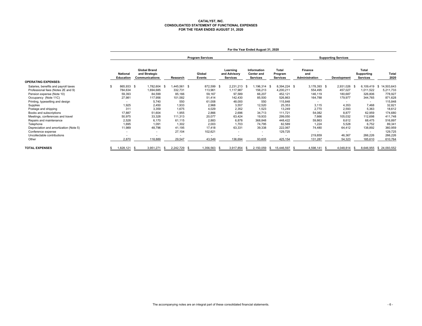# **CATALYST, INC. CONSOLIDATED STATEMENT OF FUNCTIONAL EXPENSES FOR THE YEAR ENDED AUGUST 31, 2020**

|                                                                            | For the Year Ended August 31, 2020  |                                                               |                                 |                    |                                             |                                                     |                                     |                                  |                                   |                                        |                                 |
|----------------------------------------------------------------------------|-------------------------------------|---------------------------------------------------------------|---------------------------------|--------------------|---------------------------------------------|-----------------------------------------------------|-------------------------------------|----------------------------------|-----------------------------------|----------------------------------------|---------------------------------|
|                                                                            | <b>Program Services</b>             |                                                               |                                 |                    |                                             |                                                     | <b>Supporting Services</b>          |                                  |                                   |                                        |                                 |
|                                                                            | <b>National</b><br><b>Education</b> | <b>Global Brand</b><br>and Strategic<br><b>Communications</b> | Research                        | Global<br>Events   | Learning<br>and Advisory<br><b>Services</b> | Information<br><b>Center and</b><br><b>Services</b> | Total<br>Program<br><b>Services</b> | Finance<br>and<br>Administration | Development                       | <b>Total</b><br>Supporting<br>Services | Total<br>2020                   |
| <b>OPERATING EXPENSES:</b>                                                 |                                     |                                                               |                                 |                    |                                             |                                                     |                                     |                                  |                                   |                                        |                                 |
| Salaries, benefits and payroll taxes<br>Professional fees (Notes 2E and 9) | \$<br>865,933<br>784,634            | 1,782,604<br>- \$<br>1,694,685                                | 1,445,561 \$<br>- \$<br>332,731 | 872,599<br>113,961 | 2,231,213 \$<br>- \$<br>1,117,987           | .196,314<br>156,213                                 | 8,394,224 \$<br>4,200,211           | 3,178,393 \$<br>554,495          | 2,931,026<br>457,027              | 6,109,419<br>1,011,522                 | 14,503,643<br>- \$<br>5,211,733 |
| Pension expense (Note 10)                                                  | 59,393                              | 84,599                                                        | 85,166                          | 59,167             | 97,589                                      | 66,207                                              | 452,121                             | 146,119                          | 180,687                           | 326,806                                | 778,927                         |
| Occupancy (Note 11C)                                                       | 27,981                              | 117,956                                                       | 101,582                         | 51,414             | 142,430                                     | 85,500                                              | 526,863                             | 164,788                          | 179,977                           | 344,765                                | 871,628                         |
| Printing, typesetting and design<br>Supplies                               | $\overline{\phantom{a}}$<br>1,925   | 5.740<br>2.450                                                | 550<br>1,933                    | 61,008<br>2,968    | 48,000<br>3,557                             | 550<br>12,520                                       | 115,848<br>25,353                   | $\sim$<br>3,115                  | $\overline{\phantom{a}}$<br>4,353 | $\overline{\phantom{a}}$<br>7,468      | 115,848<br>32,821               |
| Postage and shipping                                                       | 311                                 | 3,359                                                         | 1.675                           | 4,029              | 2,352                                       | 1.523                                               | 13,249                              | 2.770                            | 2,593                             | 5,363                                  | 18,612                          |
| Books and subscriptions<br>Meetings, conferences and travel                | 17,887<br>50,975                    | 51,604<br>33,328                                              | 1,955<br>111,313                | 2,866<br>20,077    | 2,696<br>63,424                             | 34,713<br>19,933                                    | 111,721<br>299,050                  | 54,082<br>7.666                  | 8,877<br>105,032                  | 62,959<br>112,698                      | 174,680<br>411,748              |
| Repairs and maintenance                                                    | 2,528                               | 6.170                                                         | 61,115                          | 2,883              | 6,878                                       | 368,848                                             | 448,422                             | 59,863                           | 8,612                             | 68,475                                 | 516,897                         |
| Telephone<br>Depreciation and amortization (Note 5)                        | 1,695<br>11,989                     | 1,091<br>48,796                                               | 1,302<br>41,195                 | 2,003<br>17,418    | 1.703<br>63,331                             | 74,795<br>39,338                                    | 82,589<br>222,067                   | 1,224<br>74,480                  | 5,528<br>64,412                   | 6,752<br>138,892                       | 89,341<br>360,959               |
| Conference expense                                                         | $\overline{\phantom{a}}$            | $\overline{\phantom{a}}$                                      | 27,104                          | 102,621            | $\overline{\phantom{a}}$                    | $\overline{\phantom{a}}$                            | 129,725                             |                                  | $\sim$                            | $\sim$                                 | 129,725                         |
| Uncollectable contributions<br>Other                                       | 2,870                               | 118,889                                                       | 29,547                          | 43,549             | 136,694                                     | 93,605                                              | $\overline{\phantom{a}}$<br>425,154 | 219,859<br>131,287               | 46,367<br>54,323                  | 266,226<br>185,610                     | 266,226<br>610,764              |
| <b>TOTAL EXPENSES</b>                                                      | 1,828,121                           | 3,951,271                                                     | 2,242,729<br>- 55               | 1,356,563<br>- SS  | 3,917,854                                   | 2,150,059                                           | 15,446,597<br>-S                    | 4,598,141<br>- \$                | 4,048,814                         | 8,646,955                              | \$24,093,552                    |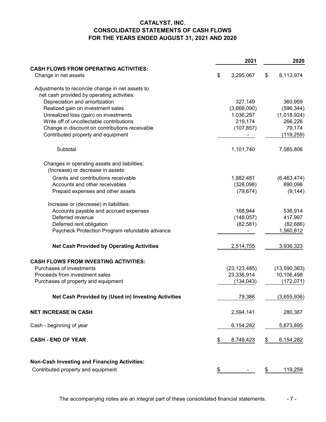# **CATALYST, INC. CONSOLIDATED STATEMENTS OF CASH FLOWS FOR THE YEARS ENDED AUGUST 31, 2021 AND 2020**

|                                                                                                | 2021            | 2020                   |
|------------------------------------------------------------------------------------------------|-----------------|------------------------|
| <b>CASH FLOWS FROM OPERATING ACTIVITIES:</b><br>Change in net assets                           | \$<br>3,295,067 | \$<br>8,113,974        |
|                                                                                                |                 |                        |
| Adjustments to reconcile change in net assets to<br>net cash provided by operating activities: |                 |                        |
| Depreciation and amortization                                                                  | 327,149         | 360,959                |
| Realized gain on investment sales                                                              | (3,668,090)     | (596, 344)             |
|                                                                                                | 1,036,297       |                        |
| Unrealized loss (gain) on investments<br>Write off of uncollectable contributions              | 219,174         | (1,018,924)<br>266,226 |
| Change in discount on contributions receivable                                                 | (107, 857)      | 79,174                 |
| Contributed property and equipment                                                             |                 | (119, 259)             |
| Subtotal                                                                                       | 1,101,740       | 7,085,806              |
|                                                                                                |                 |                        |
| Changes in operating assets and liabilities:<br>(Increase) or decrease in assets:              |                 |                        |
| Grants and contributions receivable                                                            | 1,882,481       | (6,463,474)            |
| Accounts and other receivables                                                                 | (328,098)       | 890,098                |
| Prepaid expenses and other assets                                                              | (79, 674)       | (9, 144)               |
| Increase or (decrease) in liabilities:                                                         |                 |                        |
| Accounts payable and accrued expenses                                                          | 168,944         | 536,914                |
| Deferred revenue                                                                               | (148, 057)      | 417,997                |
| Deferred rent obligation                                                                       | (82, 581)       | (82, 686)              |
| Paycheck Protection Program refundable advance                                                 |                 | 1,560,812              |
| <b>Net Cash Provided by Operating Activities</b>                                               | 2,514,755       | 3,936,323              |
| <b>CASH FLOWS FROM INVESTING ACTIVITIES:</b>                                                   |                 |                        |
| Purchases of investments                                                                       | (23, 123, 485)  | (13,590,363)           |
| Proceeds from investment sales                                                                 | 23,336,914      | 10,106,498             |
| Purchases of property and equipment                                                            | (134, 043)      | (172, 071)             |
| Net Cash Provided by (Used in) Investing Activities                                            | 79,386          | (3,655,936)            |
| <b>NET INCREASE IN CASH</b>                                                                    | 2,594,141       | 280,387                |
| Cash - beginning of year                                                                       | 6,154,282       | 5,873,895              |
| <b>CASH - END OF YEAR</b>                                                                      | \$<br>8,748,423 | \$<br>6,154,282        |
| <b>Non-Cash Investing and Financing Activities:</b>                                            |                 |                        |
| Contributed property and equipment                                                             | \$              | \$<br>119,259          |

The accompanying notes are an integral part of these consolidated financial statements.  $\overline{\phantom{a}}$  - 7 -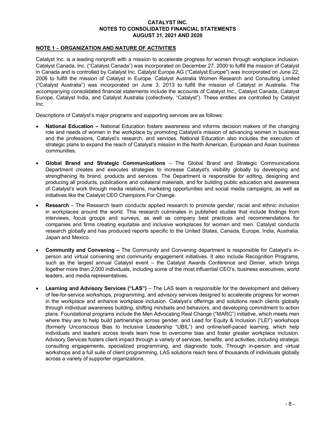# NOTE 1 – ORGANIZATION AND NATURE OF ACTIVITIES

Catalyst Inc. is a leading nonprofit with a mission to accelerate progress for women through workplace inclusion. Catalyst Canada, Inc. ("Catalyst Canada") was incorporated on December 27, 2000 to fulfill the mission of Catalyst in Canada and is controlled by Catalyst Inc. Catalyst Europe AG ("Catalyst Europe") was incorporated on June 22, 2006 to fulfill the mission of Catalyst in Europe. Catalyst Australia Women Research and Consulting Limited ("Catalyst Australia") was incorporated on June 3, 2013 to fulfill the mission of Catalyst in Australia. The accompanying consolidated financial statements include the accounts of Catalyst Inc., Catalyst Canada, Catalyst Europe, Catalyst India, and Catalyst Australia (collectively, "Catalyst"). These entities are controlled by Catalyst Inc.

Descriptions of Catalyst's major programs and supporting services are as follows:

- National Education National Education fosters awareness and informs decision makers of the changing role and needs of women in the workplace by promoting Catalyst's mission of advancing women in business and the professions, Catalyst's research, and services. National Education also includes the execution of strategic plans to expand the reach of Catalyst's mission in the North American, European and Asian business communities.
- Global Brand and Strategic Communications The Global Brand and Strategic Communications Department creates and executes strategies to increase Catalyst's visibility globally by developing and strengthening its brand, products and services. The Department is responsible for editing, designing and producing all products, publications and collateral materials, and for building public education and awareness of Catalyst's work through media relations, marketing opportunities and social media campaigns, as well as initiatives like the Catalyst CEO Champions For Change.
- Research The Research team conducts applied research to promote gender, racial and ethnic inclusion in workplaces around the world. This research culminates in published studies that include findings from interviews, focus groups and surveys, as well as company best practices and recommendations for companies and firms creating equitable and inclusive workplaces for women and men. Catalyst conducts research globally and has produced reports specific to the United States, Canada, Europe, India, Australia, Japan and Mexico.
- Community and Convening The Community and Convening department is responsible for Catalyst's inperson and virtual convening and community engagement initiatives. It also include Recognition Programs, such as the largest annual Catalyst event – the Catalyst Awards Conference and Dinner, which brings together more than 2,000 individuals, including some of the most influential CEO's, business executives, world leaders, and media representatives.
- Learning and Advisory Services ("LAS") The LAS team is responsible for the development and delivery of fee-for-service workshops, programming, and advisory services designed to accelerate progress for women in the workplace and enhance workplace inclusion. Catalyst's offerings and solutions reach clients globally through individual awareness building, shifting mindsets and behaviors, and developing commitment to action plans. Foundational programs include the Men Advocating Real Change ("MARC") initiative, which meets men where they are to help build partnerships across gender, and Lead for Equity & Inclusion ("LEI") workshops (formerly Unconscious Bias to Inclusive Leadership "UBIL") and online/self-paced learning, which help individuals and leaders across levels learn how to overcome bias and foster greater workplace inclusion. Advisory Services fosters client impact through a variety of services, benefits, and activities, including strategic consulting engagements, specialized programming, and diagnostic tools. Through in-person and virtual workshops and a full suite of client programming, LAS solutions reach tens of thousands of individuals globally across a variety of supporter organizations.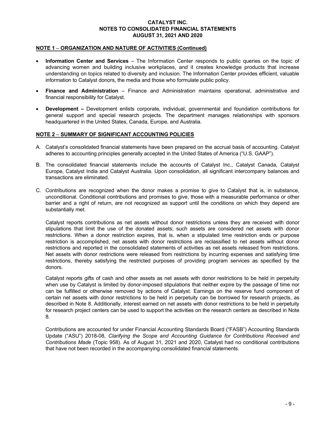# NOTE 1 – ORGANIZATION AND NATURE OF ACTIVITIES (Continued)

- Information Center and Services The Information Center responds to public queries on the topic of advancing women and building inclusive workplaces, and it creates knowledge products that increase understanding on topics related to diversity and inclusion. The Information Center provides efficient, valuable information to Catalyst donors, the media and those who formulate public policy.
- Finance and Administration Finance and Administration maintains operational, administrative and financial responsibility for Catalyst.
- Development Development enlists corporate, individual, governmental and foundation contributions for general support and special research projects. The department manages relationships with sponsors headquartered in the United States, Canada, Europe, and Australia.

# NOTE 2 – SUMMARY OF SIGNIFICANT ACCOUNTING POLICIES

- A. Catalyst's consolidated financial statements have been prepared on the accrual basis of accounting. Catalyst adheres to accounting principles generally accepted in the United States of America ("U.S. GAAP").
- B. The consolidated financial statements include the accounts of Catalyst Inc., Catalyst Canada, Catalyst Europe, Catalyst India and Catalyst Australia. Upon consolidation, all significant intercompany balances and transactions are eliminated.
- C. Contributions are recognized when the donor makes a promise to give to Catalyst that is, in substance, unconditional. Conditional contributions and promises to give, those with a measurable performance or other barrier and a right of return, are not recognized as support until the conditions on which they depend are substantially met.

Catalyst reports contributions as net assets without donor restrictions unless they are received with donor stipulations that limit the use of the donated assets; such assets are considered net assets with donor restrictions. When a donor restriction expires, that is, when a stipulated time restriction ends or purpose restriction is accomplished, net assets with donor restrictions are reclassified to net assets without donor restrictions and reported in the consolidated statements of activities as net assets released from restrictions. Net assets with donor restrictions were released from restrictions by incurring expenses and satisfying time restrictions, thereby satisfying the restricted purposes of providing program services as specified by the donors.

Catalyst reports gifts of cash and other assets as net assets with donor restrictions to be held in perpetuity when use by Catalyst is limited by donor-imposed stipulations that neither expire by the passage of time nor can be fulfilled or otherwise removed by actions of Catalyst. Earnings on the reserve fund component of certain net assets with donor restrictions to be held in perpetuity can be borrowed for research projects, as described in Note 8. Additionally, interest earned on net assets with donor restrictions to be held in perpetuity for research project centers can be used to support the activities on the research centers as described in Note 8.

Contributions are accounted for under Financial Accounting Standards Board ("FASB") Accounting Standards Update ("ASU") 2018-08, Clarifying the Scope and Accounting Guidance for Contributions Received and Contributions Made (Topic 958). As of August 31, 2021 and 2020, Catalyst had no conditional contributions that have not been recorded in the accompanying consolidated financial statements.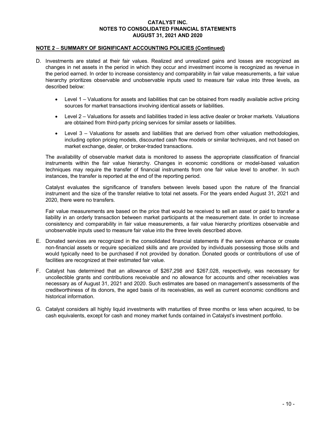# NOTE 2 – SUMMARY OF SIGNIFICANT ACCOUNTING POLICIES (Continued)

- D. Investments are stated at their fair values. Realized and unrealized gains and losses are recognized as changes in net assets in the period in which they occur and investment income is recognized as revenue in the period earned. In order to increase consistency and comparability in fair value measurements, a fair value hierarchy prioritizes observable and unobservable inputs used to measure fair value into three levels, as described below:
	- Level 1 Valuations for assets and liabilities that can be obtained from readily available active pricing sources for market transactions involving identical assets or liabilities.
	- Level 2 Valuations for assets and liabilities traded in less active dealer or broker markets. Valuations are obtained from third-party pricing services for similar assets or liabilities.
	- Level 3 Valuations for assets and liabilities that are derived from other valuation methodologies, including option pricing models, discounted cash flow models or similar techniques, and not based on market exchange, dealer, or broker-traded transactions.

The availability of observable market data is monitored to assess the appropriate classification of financial instruments within the fair value hierarchy. Changes in economic conditions or model-based valuation techniques may require the transfer of financial instruments from one fair value level to another. In such instances, the transfer is reported at the end of the reporting period.

Catalyst evaluates the significance of transfers between levels based upon the nature of the financial instrument and the size of the transfer relative to total net assets. For the years ended August 31, 2021 and 2020, there were no transfers.

Fair value measurements are based on the price that would be received to sell an asset or paid to transfer a liability in an orderly transaction between market participants at the measurement date. In order to increase consistency and comparability in fair value measurements, a fair value hierarchy prioritizes observable and unobservable inputs used to measure fair value into the three levels described above.

- E. Donated services are recognized in the consolidated financial statements if the services enhance or create non-financial assets or require specialized skills and are provided by individuals possessing those skills and would typically need to be purchased if not provided by donation. Donated goods or contributions of use of facilities are recognized at their estimated fair value.
- F. Catalyst has determined that an allowance of \$267,298 and \$267,028, respectively, was necessary for uncollectible grants and contributions receivable and no allowance for accounts and other receivables was necessary as of August 31, 2021 and 2020. Such estimates are based on management's assessments of the creditworthiness of its donors, the aged basis of its receivables, as well as current economic conditions and historical information.
- G. Catalyst considers all highly liquid investments with maturities of three months or less when acquired, to be cash equivalents, except for cash and money market funds contained in Catalyst's investment portfolio.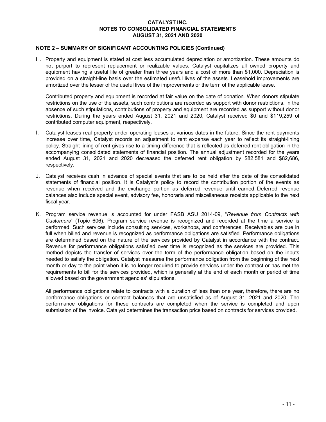# NOTE 2 – SUMMARY OF SIGNIFICANT ACCOUNTING POLICIES (Continued)

H. Property and equipment is stated at cost less accumulated depreciation or amortization. These amounts do not purport to represent replacement or realizable values. Catalyst capitalizes all owned property and equipment having a useful life of greater than three years and a cost of more than \$1,000. Depreciation is provided on a straight-line basis over the estimated useful lives of the assets. Leasehold improvements are amortized over the lesser of the useful lives of the improvements or the term of the applicable lease.

Contributed property and equipment is recorded at fair value on the date of donation. When donors stipulate restrictions on the use of the assets, such contributions are recorded as support with donor restrictions. In the absence of such stipulations, contributions of property and equipment are recorded as support without donor restrictions. During the years ended August 31, 2021 and 2020, Catalyst received \$0 and \$119,259 of contributed computer equipment, respectively.

- I. Catalyst leases real property under operating leases at various dates in the future. Since the rent payments increase over time, Catalyst records an adjustment to rent expense each year to reflect its straight-lining policy. Straight-lining of rent gives rise to a timing difference that is reflected as deferred rent obligation in the accompanying consolidated statements of financial position. The annual adjustment recorded for the years ended August 31, 2021 and 2020 decreased the deferred rent obligation by \$82,581 and \$82,686, respectively.
- J. Catalyst receives cash in advance of special events that are to be held after the date of the consolidated statements of financial position. It is Catalyst's policy to record the contribution portion of the events as revenue when received and the exchange portion as deferred revenue until earned. Deferred revenue balances also include special event, advisory fee, honoraria and miscellaneous receipts applicable to the next fiscal year.
- K. Program service revenue is accounted for under FASB ASU 2014-09, "Revenue from Contracts with Customers" (Topic 606). Program service revenue is recognized and recorded at the time a service is performed. Such services include consulting services, workshops, and conferences. Receivables are due in full when billed and revenue is recognized as performance obligations are satisfied. Performance obligations are determined based on the nature of the services provided by Catalyst in accordance with the contract. Revenue for performance obligations satisfied over time is recognized as the services are provided. This method depicts the transfer of services over the term of the performance obligation based on the inputs needed to satisfy the obligation. Catalyst measures the performance obligation from the beginning of the next month or day to the point when it is no longer required to provide services under the contract or has met the requirements to bill for the services provided, which is generally at the end of each month or period of time allowed based on the government agencies' stipulations.

All performance obligations relate to contracts with a duration of less than one year, therefore, there are no performance obligations or contract balances that are unsatisfied as of August 31, 2021 and 2020. The performance obligations for these contracts are completed when the service is completed and upon submission of the invoice. Catalyst determines the transaction price based on contracts for services provided.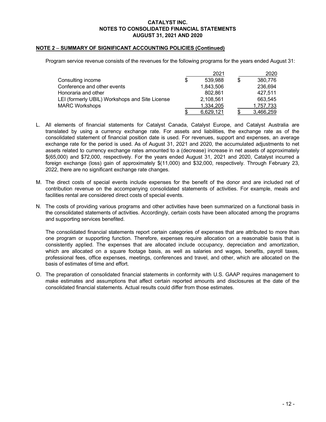# NOTE 2 – SUMMARY OF SIGNIFICANT ACCOUNTING POLICIES (Continued)

Program service revenue consists of the revenues for the following programs for the years ended August 31:

|                                                |   | 2021      | 2020          |
|------------------------------------------------|---|-----------|---------------|
| Consulting income                              | S | 539.988   | \$<br>380,776 |
| Conference and other events                    |   | 1,843,506 | 236,694       |
| Honoraria and other                            |   | 802.861   | 427.511       |
| LEI (formerly UBIL) Workshops and Site License |   | 2,108,561 | 663.545       |
| <b>MARC Workshops</b>                          |   | 1.334.205 | 1,757,733     |
|                                                |   | 6.629.121 | 3,466,259     |

- L. All elements of financial statements for Catalyst Canada, Catalyst Europe, and Catalyst Australia are translated by using a currency exchange rate. For assets and liabilities, the exchange rate as of the consolidated statement of financial position date is used. For revenues, support and expenses, an average exchange rate for the period is used. As of August 31, 2021 and 2020, the accumulated adjustments to net assets related to currency exchange rates amounted to a (decrease) increase in net assets of approximately \$(65,000) and \$72,000, respectively. For the years ended August 31, 2021 and 2020, Catalyst incurred a foreign exchange (loss) gain of approximately \$(11,000) and \$32,000, respectively. Through February 23, 2022, there are no significant exchange rate changes.
- M. The direct costs of special events include expenses for the benefit of the donor and are included net of contribution revenue on the accompanying consolidated statements of activities. For example, meals and facilities rental are considered direct costs of special events.
- N. The costs of providing various programs and other activities have been summarized on a functional basis in the consolidated statements of activities. Accordingly, certain costs have been allocated among the programs and supporting services benefited.

The consolidated financial statements report certain categories of expenses that are attributed to more than one program or supporting function. Therefore, expenses require allocation on a reasonable basis that is consistently applied. The expenses that are allocated include occupancy, depreciation and amortization, which are allocated on a square footage basis, as well as salaries and wages, benefits, payroll taxes, professional fees, office expenses, meetings, conferences and travel, and other, which are allocated on the basis of estimates of time and effort.

O. The preparation of consolidated financial statements in conformity with U.S. GAAP requires management to make estimates and assumptions that affect certain reported amounts and disclosures at the date of the consolidated financial statements. Actual results could differ from those estimates.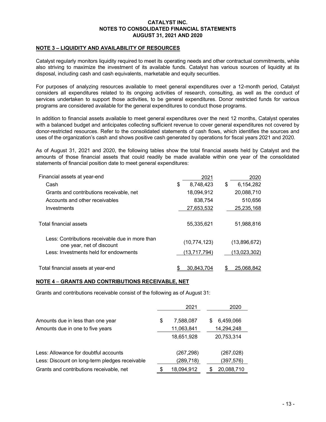# NOTE 3 – LIQUIDITY AND AVAILABILITY OF RESOURCES

Catalyst regularly monitors liquidity required to meet its operating needs and other contractual commitments, while also striving to maximize the investment of its available funds. Catalyst has various sources of liquidity at its disposal, including cash and cash equivalents, marketable and equity securities.

For purposes of analyzing resources available to meet general expenditures over a 12-month period, Catalyst considers all expenditures related to its ongoing activities of research, consulting, as well as the conduct of services undertaken to support those activities, to be general expenditures. Donor restricted funds for various programs are considered available for the general expenditures to conduct those programs.

In addition to financial assets available to meet general expenditures over the next 12 months, Catalyst operates with a balanced budget and anticipates collecting sufficient revenue to cover general expenditures not covered by donor-restricted resources. Refer to the consolidated statements of cash flows, which identifies the sources and uses of the organization's cash and shows positive cash generated by operations for fiscal years 2021 and 2020.

As of August 31, 2021 and 2020, the following tables show the total financial assets held by Catalyst and the amounts of those financial assets that could readily be made available within one year of the consolidated statements of financial position date to meet general expenditures:

| Financial assets at year-end                                                 | 2021             | 2020             |
|------------------------------------------------------------------------------|------------------|------------------|
| Cash                                                                         | \$<br>8,748,423  | \$<br>6,154,282  |
| Grants and contributions receivable, net                                     | 18.094.912       | 20,088,710       |
| Accounts and other receivables                                               | 838,754          | 510,656          |
| Investments                                                                  | 27,653,532       | 25,235,168       |
| Total financial assets                                                       | 55,335,621       | 51,988,816       |
| Less: Contributions receivable due in more than<br>one year, net of discount | (10, 774, 123)   | (13,896,672)     |
| Less: Investments held for endowments                                        | (13,717,794)     | (13,023,302)     |
| Total financial assets at year-end                                           | \$<br>30.843.704 | \$<br>25.068.842 |

#### NOTE 4 – GRANTS AND CONTRIBUTIONS RECEIVABLE, NET

Grants and contributions receivable consist of the following as of August 31:

|                                                | 2021             | 2020            |
|------------------------------------------------|------------------|-----------------|
| Amounts due in less than one year              | \$<br>7,588,087  | \$<br>6,459,066 |
| Amounts due in one to five years               | 11,063,841       | 14,294,248      |
|                                                | 18,651,928       | 20,753,314      |
| Less: Allowance for doubtful accounts          | (267,298)        | (267,028)       |
| Less: Discount on long-term pledges receivable | (289, 718)       | (397,576)       |
| Grants and contributions receivable, net       | \$<br>18,094,912 | 20,088,710      |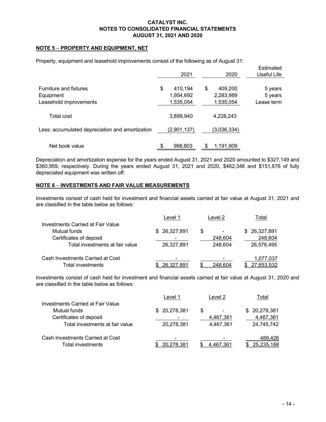# NOTE 5 – PROPERTY AND EQUIPMENT, NET

Property, equipment and leasehold improvements consist of the following as of August 31:

|                                                               | 2021                                    | 2020                                    | Estimated<br>Useful Life         |
|---------------------------------------------------------------|-----------------------------------------|-----------------------------------------|----------------------------------|
| Furniture and fixtures<br>Equipment<br>Leasehold improvements | 410,194<br>\$<br>1,954,692<br>1,535,054 | 409,200<br>\$<br>2,283,989<br>1,535,054 | 5 years<br>5 years<br>Lease term |
| Total cost                                                    | 3,899,940                               | 4,228,243                               |                                  |
| Less: accumulated depreciation and amortization               | (2,901,137)                             | (3,036,334)                             |                                  |
| Net book value                                                | 998,803                                 | 1,191,909                               |                                  |

Depreciation and amortization expense for the years ended August 31, 2021 and 2020 amounted to \$327,149 and \$360,959, respectively. During the years ended August 31, 2021 and 2020, \$462,346 and \$151,876 of fully depreciated equipment was written off.

# NOTE 6 – INVESTMENTS AND FAIR VALUE MEASUREMENTS

Investments consist of cash held for investment and financial assets carried at fair value at August 31, 2021 and are classified in the table below as follows:

|                                   | Level 1      | Level 2 | Total         |
|-----------------------------------|--------------|---------|---------------|
| Investments Carried at Fair Value |              |         |               |
| Mutual funds                      | \$26,327,891 | \$      | \$ 26,327,891 |
| Certificates of deposit           |              | 248.604 | 248,604       |
| Total investments at fair value   | 26,327,891   | 248,604 | 26,576,495    |
| Cash Investments Carried at Cost  | -            | -       | 1,077,037     |
| Total investments                 | 26,327,891   | 248,604 | 27,653,532    |

Investments consist of cash held for investment and financial assets carried at fair value at August 31, 2020 and are classified in the table below as follows:

|                                          | Level 1       | Level 2                        | Total         |
|------------------------------------------|---------------|--------------------------------|---------------|
| <b>Investments Carried at Fair Value</b> |               |                                |               |
| Mutual funds                             | \$ 20,278,381 | \$<br>$\overline{\phantom{0}}$ | \$ 20,278,381 |
| Certificates of deposit                  |               | 4,467,361                      | 4,467,361     |
| Total investments at fair value          | 20.278.381    | 4.467.361                      | 24,745,742    |
| Cash Investments Carried at Cost         |               |                                | 489,426       |
| Total investments                        | 20.278.381    | 4.467.361                      | 25,235,168    |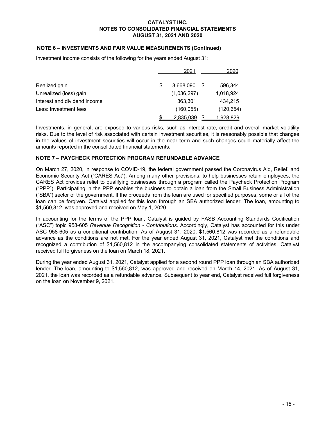# NOTE 6 – INVESTMENTS AND FAIR VALUE MEASUREMENTS (Continued)

Investment income consists of the following for the years ended August 31:

|                              |   | 2021        |   | 2020      |
|------------------------------|---|-------------|---|-----------|
| Realized gain                | S | 3,668,090   | S | 596.344   |
| Unrealized (loss) gain       |   | (1,036,297) |   | 1,018,924 |
| Interest and dividend income |   | 363.301     |   | 434.215   |
| Less: Investment fees        |   | (160,055)   |   | (120,654) |
|                              |   | 2,835,039   |   | 1,928,829 |

Investments, in general, are exposed to various risks, such as interest rate, credit and overall market volatility risks. Due to the level of risk associated with certain investment securities, it is reasonably possible that changes in the values of investment securities will occur in the near term and such changes could materially affect the amounts reported in the consolidated financial statements.

# NOTE 7 – PAYCHECK PROTECTION PROGRAM REFUNDABLE ADVANCE

On March 27, 2020, in response to COVID-19, the federal government passed the Coronavirus Aid, Relief, and Economic Security Act ("CARES Act"). Among many other provisions, to help businesses retain employees, the CARES Act provides relief to qualifying businesses through a program called the Paycheck Protection Program ("PPP"). Participating in the PPP enables the business to obtain a loan from the Small Business Administration ("SBA") sector of the government. If the proceeds from the loan are used for specified purposes, some or all of the loan can be forgiven. Catalyst applied for this loan through an SBA authorized lender. The loan, amounting to \$1,560,812, was approved and received on May 1, 2020.

In accounting for the terms of the PPP loan, Catalyst is guided by FASB Accounting Standards Codification ("ASC") topic 958-605 Revenue Recognition - Contributions. Accordingly, Catalyst has accounted for this under ASC 958-605 as a conditional contribution. As of August 31, 2020, \$1,560,812 was recorded as a refundable advance as the conditions are not met. For the year ended August 31, 2021, Catalyst met the conditions and recognized a contribution of \$1,560,812 in the accompanying consolidated statements of activities. Catalyst received full forgiveness on the loan on March 18, 2021.

During the year ended August 31, 2021, Catalyst applied for a second round PPP loan through an SBA authorized lender. The loan, amounting to \$1,560,812, was approved and received on March 14, 2021. As of August 31, 2021, the loan was recorded as a refundable advance. Subsequent to year end, Catalyst received full forgiveness on the loan on November 9, 2021.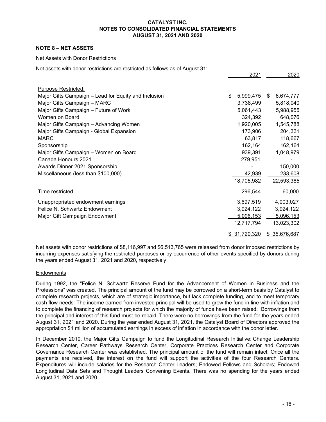# NOTE 8 – NET ASSETS

#### Net Assets with Donor Restrictions

Net assets with donor restrictions are restricted as follows as of August 31:

|                                                      | 2021            | 2020            |
|------------------------------------------------------|-----------------|-----------------|
|                                                      |                 |                 |
| Purpose Restricted:                                  |                 |                 |
| Major Gifts Campaign – Lead for Equity and Inclusion | \$<br>5,999,475 | 6,674,777<br>\$ |
| Major Gifts Campaign - MARC                          | 3,738,499       | 5,818,040       |
| Major Gifts Campaign - Future of Work                | 5,061,443       | 5,988,955       |
| Women on Board                                       | 324,392         | 648,076         |
| Major Gifts Campaign - Advancing Women               | 1,920,005       | 1,545,788       |
| Major Gifts Campaign - Global Expansion              | 173,906         | 204,331         |
| <b>MARC</b>                                          | 63,817          | 118,667         |
| Sponsorship                                          | 162,164         | 162,164         |
| Major Gifts Campaign - Women on Board                | 939,391         | 1,048,979       |
| Canada Honours 2021                                  | 279,951         |                 |
| Awards Dinner 2021 Sponsorship                       |                 | 150,000         |
| Miscellaneous (less than \$100,000)                  | 42,939          | 233,608         |
|                                                      | 18,705,982      | 22,593,385      |
| Time restricted                                      | 296,544         | 60,000          |
| Unappropriated endowment earnings                    | 3,697,519       | 4,003,027       |
| Felice N. Schwartz Endowment                         | 3,924,122       | 3,924,122       |
| Major Gift Campaign Endowment                        | 5,096,153       | 5,096,153       |
|                                                      | 12,717,794      | 13,023,302      |
|                                                      | \$31,720,320    | \$35,676,687    |

Net assets with donor restrictions of \$8,116,997 and \$6,513,765 were released from donor imposed restrictions by incurring expenses satisfying the restricted purposes or by occurrence of other events specified by donors during the years ended August 31, 2021 and 2020, respectively.

#### **Endowments**

During 1992, the "Felice N. Schwartz Reserve Fund for the Advancement of Women in Business and the Professions" was created. The principal amount of the fund may be borrowed on a short-term basis by Catalyst to complete research projects, which are of strategic importance, but lack complete funding, and to meet temporary cash flow needs. The income earned from invested principal will be used to grow the fund in line with inflation and to complete the financing of research projects for which the majority of funds have been raised. Borrowings from the principal and interest of this fund must be repaid. There were no borrowings from the fund for the years ended August 31, 2021 and 2020. During the year ended August 31, 2021, the Catalyst Board of Directors approved the appropriation \$1 million of accumulated earnings in excess of inflation in accordance with the donor letter.

In December 2010, the Major Gifts Campaign to fund the Longitudinal Research Initiative: Change Leadership Research Center, Career Pathways Research Center, Corporate Practices Research Center and Corporate Governance Research Center was established. The principal amount of the fund will remain intact. Once all the payments are received, the interest on the fund will support the activities of the four Research Centers. Expenditures will include salaries for the Research Center Leaders; Endowed Fellows and Scholars; Endowed Longitudinal Data Sets and Thought Leaders Convening Events. There was no spending for the years ended August 31, 2021 and 2020.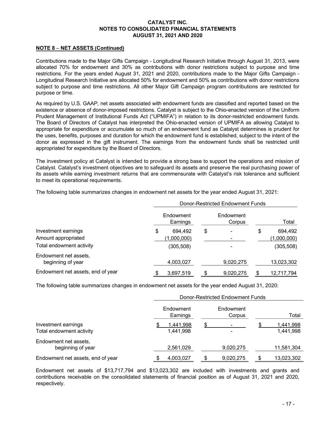# NOTE 8 – NET ASSETS (Continued)

Contributions made to the Major Gifts Campaign - Longitudinal Research Initiative through August 31, 2013, were allocated 70% for endowment and 30% as contributions with donor restrictions subject to purpose and time restrictions. For the years ended August 31, 2021 and 2020, contributions made to the Major Gifts Campaign - Longitudinal Research Initiative are allocated 50% for endowment and 50% as contributions with donor restrictions subject to purpose and time restrictions. All other Major Gift Campaign program contributions are restricted for purpose or time.

As required by U.S. GAAP, net assets associated with endowment funds are classified and reported based on the existence or absence of donor-imposed restrictions. Catalyst is subject to the Ohio-enacted version of the Uniform Prudent Management of Institutional Funds Act ("UPMIFA") in relation to its donor-restricted endowment funds. The Board of Directors of Catalyst has interpreted the Ohio-enacted version of UPMIFA as allowing Catalyst to appropriate for expenditure or accumulate so much of an endowment fund as Catalyst determines is prudent for the uses, benefits, purposes and duration for which the endowment fund is established, subject to the intent of the donor as expressed in the gift instrument. The earnings from the endowment funds shall be restricted until appropriated for expenditure by the Board of Directors.

The investment policy at Catalyst is intended to provide a strong base to support the operations and mission of Catalyst. Catalyst's investment objectives are to safeguard its assets and preserve the real purchasing power of its assets while earning investment returns that are commensurate with Catalyst's risk tolerance and sufficient to meet its operational requirements.

The following table summarizes changes in endowment net assets for the year ended August 31, 2021:

|                                                                        | Donor-Restricted Endowment Funds |                                      |    |                     |    |                                      |
|------------------------------------------------------------------------|----------------------------------|--------------------------------------|----|---------------------|----|--------------------------------------|
|                                                                        |                                  | Endowment<br>Earnings                |    | Endowment<br>Corpus |    | Total                                |
| Investment earnings<br>Amount appropriated<br>Total endowment activity | \$                               | 694.492<br>(1,000,000)<br>(305, 508) | \$ |                     | \$ | 694,492<br>(1,000,000)<br>(305, 508) |
| Endowment net assets,<br>beginning of year                             |                                  | 4,003,027                            |    | 9,020,275           |    | 13,023,302                           |
| Endowment net assets, end of year                                      |                                  | 3,697,519                            | ß. | 9,020,275           |    | 12,717,794                           |

The following table summarizes changes in endowment net assets for the year ended August 31, 2020:

|                                                 | Donor-Restricted Endowment Funds |                        |  |                     |   |                        |
|-------------------------------------------------|----------------------------------|------------------------|--|---------------------|---|------------------------|
|                                                 |                                  | Endowment<br>Earnings  |  | Endowment<br>Corpus |   | Total                  |
| Investment earnings<br>Total endowment activity |                                  | 1,441,998<br>1,441,998 |  |                     |   | 1,441,998<br>1,441,998 |
| Endowment net assets,<br>beginning of year      |                                  | 2,561,029              |  | 9,020,275           |   | 11,581,304             |
| Endowment net assets, end of year               |                                  | 4,003,027              |  | 9,020,275           | S | 13,023,302             |

Endowment net assets of \$13,717,794 and \$13,023,302 are included with investments and grants and contributions receivable on the consolidated statements of financial position as of August 31, 2021 and 2020, respectively.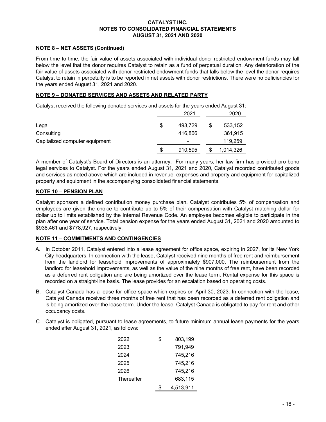# NOTE 8 – NET ASSETS (Continued)

From time to time, the fair value of assets associated with individual donor-restricted endowment funds may fall below the level that the donor requires Catalyst to retain as a fund of perpetual duration. Any deterioration of the fair value of assets associated with donor-restricted endowment funds that falls below the level the donor requires Catalyst to retain in perpetuity is to be reported in net assets with donor restrictions. There were no deficiencies for the years ended August 31, 2021 and 2020.

# NOTE 9 – DONATED SERVICES AND ASSETS AND RELATED PARTY

Catalyst received the following donated services and assets for the years ended August 31:

|                                |    | 2021           | 2020          |
|--------------------------------|----|----------------|---------------|
| Legal                          | \$ | 493.729        | \$<br>533,152 |
| Consulting                     |    | 416,866        | 361,915       |
| Capitalized computer equipment |    | $\blacksquare$ | 119,259       |
|                                | S  | 910,595        | 1,014,326     |

A member of Catalyst's Board of Directors is an attorney. For many years, her law firm has provided pro-bono legal services to Catalyst. For the years ended August 31, 2021 and 2020, Catalyst recorded contributed goods and services as noted above which are included in revenue, expenses and property and equipment for capitalized property and equipment in the accompanying consolidated financial statements.

# NOTE 10 – PENSION PLAN

Catalyst sponsors a defined contribution money purchase plan. Catalyst contributes 5% of compensation and employees are given the choice to contribute up to 5% of their compensation with Catalyst matching dollar for dollar up to limits established by the Internal Revenue Code. An employee becomes eligible to participate in the plan after one year of service. Total pension expense for the years ended August 31, 2021 and 2020 amounted to \$938,461 and \$778,927, respectively.

# NOTE 11 – COMMITMENTS AND CONTINGENCIES

- A. In October 2011, Catalyst entered into a lease agreement for office space, expiring in 2027, for its New York City headquarters. In connection with the lease, Catalyst received nine months of free rent and reimbursement from the landlord for leasehold improvements of approximately \$907,000. The reimbursement from the landlord for leasehold improvements, as well as the value of the nine months of free rent, have been recorded as a deferred rent obligation and are being amortized over the lease term. Rental expense for this space is recorded on a straight-line basis. The lease provides for an escalation based on operating costs.
- B. Catalyst Canada has a lease for office space which expires on April 30, 2023. In connection with the lease, Catalyst Canada received three months of free rent that has been recorded as a deferred rent obligation and is being amortized over the lease term. Under the lease, Catalyst Canada is obligated to pay for rent and other occupancy costs.
- C. Catalyst is obligated, pursuant to lease agreements, to future minimum annual lease payments for the years ended after August 31, 2021, as follows:

| 2022       | \$<br>803.199   |
|------------|-----------------|
| 2023       | 791,949         |
| 2024       | 745,216         |
| 2025       | 745,216         |
| 2026       | 745,216         |
| Thereafter | 683,115         |
|            | \$<br>4,513,911 |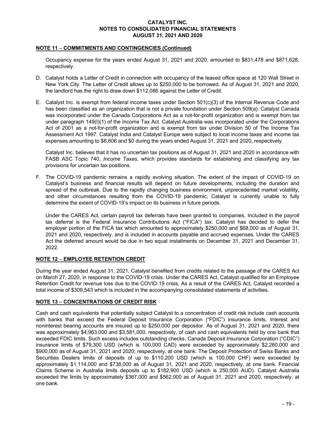# NOTE 11 – COMMITMENTS AND CONTINGENCIES (Continued)

Occupancy expense for the years ended August 31, 2021 and 2020, amounted to \$831,478 and \$871,628, respectively.

- D. Catalyst holds a Letter of Credit in connection with occupancy of the leased office space at 120 Wall Street in New York City. The Letter of Credit allows up to \$250,000 to be borrowed. As of August 31, 2021 and 2020, the landlord has the right to draw down \$112,086 against the Letter of Credit.
- E. Catalyst Inc. is exempt from federal income taxes under Section 501(c)(3) of the Internal Revenue Code and has been classified as an organization that is not a private foundation under Section 509(a). Catalyst Canada was incorporated under the Canada Corporations Act as a not-for-profit organization and is exempt from tax under paragraph 149(I)(1) of the Income Tax Act. Catalyst Australia was incorporated under the Corporations Act of 2001 as a not-for-profit organization and is exempt from tax under Division 50 of The Income Tax Assessment Act 1997. Catalyst India and Catalyst Europe were subject to local income taxes and income tax expenses amounting to \$8,606 and \$0 during the years ended August 31, 2021 and 2020, respectively.

Catalyst Inc. believes that it has no uncertain tax positions as of August 31, 2021 and 2020 in accordance with FASB ASC Topic 740, Income Taxes, which provides standards for establishing and classifying any tax provisions for uncertain tax positions.

F. The COVID-19 pandemic remains a rapidly evolving situation. The extent of the impact of COVID-19 on Catalyst's business and financial results will depend on future developments, including the duration and spread of the outbreak. Due to the rapidly changing business environment, unprecedented market volatility, and other circumstances resulting from the COVID-19 pandemic, Catalyst is currently unable to fully determine the extent of COVID-19's impact on its business in future periods.

Under the CARES Act, certain payroll tax deferrals have been granted to companies. Included in the payroll tax deferral is the Federal Insurance Contributions Act ("FICA") tax. Catalyst has decided to defer the employer portion of the FICA tax which amounted to approximately \$250,000 and \$68,000 as of August 31, 2021 and 2020, respectively, and is included in accounts payable and accrued expenses. Under the CARES Act the deferred amount would be due in two equal installments on December 31, 2021 and December 31, 2022.

# NOTE 12 – EMPLOYEE RETENTION CREDIT

During the year ended August 31, 2021, Catalyst benefited from credits related to the passage of the CARES Act on March 27, 2020, in response to the COVID-19 crisis. Under the CARES Act, Catalyst qualified for an Employee Retention Credit for revenue loss due to the COVID-19 crisis. As a result of the CARES Act, Catalyst recorded a total income of \$309,543 which is included in the accompanying consolidated statements of activities.

# NOTE 13 – CONCENTRATIONS OF CREDIT RISK

Cash and cash equivalents that potentially subject Catalyst to a concentration of credit risk include cash accounts with banks that exceed the Federal Deposit Insurance Corporation ("FDIC") insurance limits. Interest and noninterest bearing accounts are insured up to \$250,000 per depositor. As of August 31, 2021 and 2020, there was approximately \$4,963,000 and \$3,581,000, respectively, of cash and cash equivalents held by one bank that exceeded FDIC limits. Such excess includes outstanding checks. Canada Deposit Insurance Corporation ("CDIC") insurance limits of \$79,300 USD (which is 100,000 CAD) were exceeded by approximately \$2,260,000 and \$900,000 as of August 31, 2021 and 2020, respectively, at one bank. The Deposit Protection of Swiss Banks and Securities Dealers limits of deposits of up to \$110,200 USD (which is 100,000 CHF) were exceeded by approximately \$1,114,000 and \$738,000 as of August 31, 2021 and 2020, respectively, at one bank. Financial Claims Scheme in Australia limits deposits up to \$182,900 USD (which is 250,000 AUD). Catalyst Australia exceeded the limits by approximately \$367,000 and \$562,000 as of August 31, 2021 and 2020, respectively, at one bank.